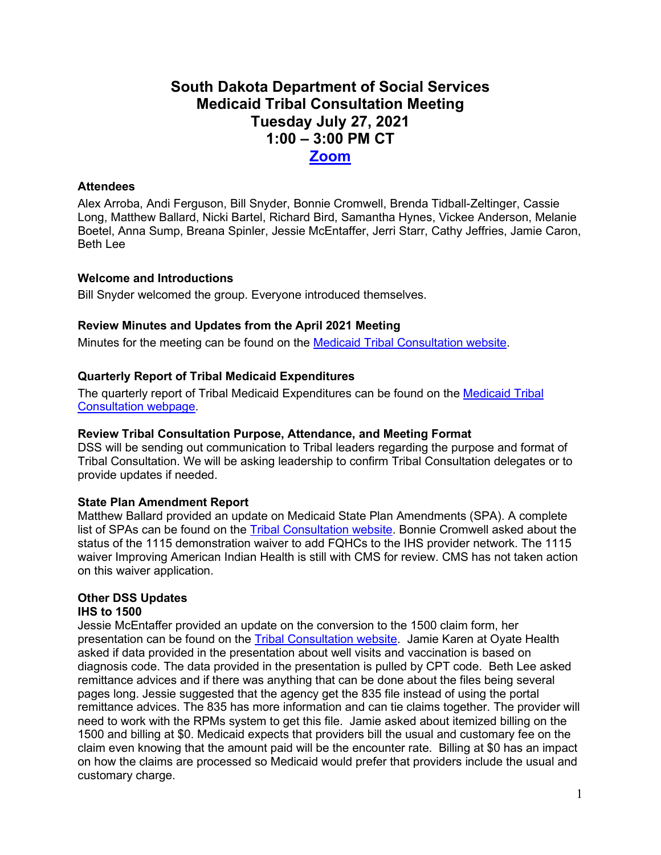# **South Dakota Department of Social Services Medicaid Tribal Consultation Meeting Tuesday July 27, 2021 1:00 – 3:00 PM CT [Zoom](https://state-sd.zoom.us/j/99386538926?pwd=V2IyRExuTlZ3b2gzelk0RGREOFRvUT09)**

## **Attendees**

Alex Arroba, Andi Ferguson, Bill Snyder, Bonnie Cromwell, Brenda Tidball-Zeltinger, Cassie Long, Matthew Ballard, Nicki Bartel, Richard Bird, Samantha Hynes, Vickee Anderson, Melanie Boetel, Anna Sump, Breana Spinler, Jessie McEntaffer, Jerri Starr, Cathy Jeffries, Jamie Caron, Beth Lee

### **Welcome and Introductions**

Bill Snyder welcomed the group. Everyone introduced themselves.

### **Review Minutes and Updates from the April 2021 Meeting**

Minutes for the meeting can be found on the [Medicaid Tribal Consultation website.](https://dss.sd.gov/medicaid/generalinfo/tribalconsultation.aspx)

### **Quarterly Report of Tribal Medicaid Expenditures**

The quarterly report of Tribal Medicaid Expenditures can be found on the [Medicaid Tribal](https://dss.sd.gov/medicaid/generalinfo/tribalconsultation.aspx)  [Consultation webpage.](https://dss.sd.gov/medicaid/generalinfo/tribalconsultation.aspx)

#### **Review Tribal Consultation Purpose, Attendance, and Meeting Format**

DSS will be sending out communication to Tribal leaders regarding the purpose and format of Tribal Consultation. We will be asking leadership to confirm Tribal Consultation delegates or to provide updates if needed.

#### **State Plan Amendment Report**

Matthew Ballard provided an update on Medicaid State Plan Amendments (SPA). A complete list of SPAs can be found on the [Tribal Consultation website.](https://dss.sd.gov/medicaid/generalinfo/tribalconsultation.aspx) Bonnie Cromwell asked about the status of the 1115 demonstration waiver to add FQHCs to the IHS provider network. The 1115 waiver Improving American Indian Health is still with CMS for review. CMS has not taken action on this waiver application.

### **Other DSS Updates**

#### **IHS to 1500**

Jessie McEntaffer provided an update on the conversion to the 1500 claim form, her presentation can be found on the [Tribal Consultation website.](https://dss.sd.gov/medicaid/generalinfo/tribalconsultation.aspx) Jamie Karen at Oyate Health asked if data provided in the presentation about well visits and vaccination is based on diagnosis code. The data provided in the presentation is pulled by CPT code. Beth Lee asked remittance advices and if there was anything that can be done about the files being several pages long. Jessie suggested that the agency get the 835 file instead of using the portal remittance advices. The 835 has more information and can tie claims together. The provider will need to work with the RPMs system to get this file. Jamie asked about itemized billing on the 1500 and billing at \$0. Medicaid expects that providers bill the usual and customary fee on the claim even knowing that the amount paid will be the encounter rate. Billing at \$0 has an impact on how the claims are processed so Medicaid would prefer that providers include the usual and customary charge.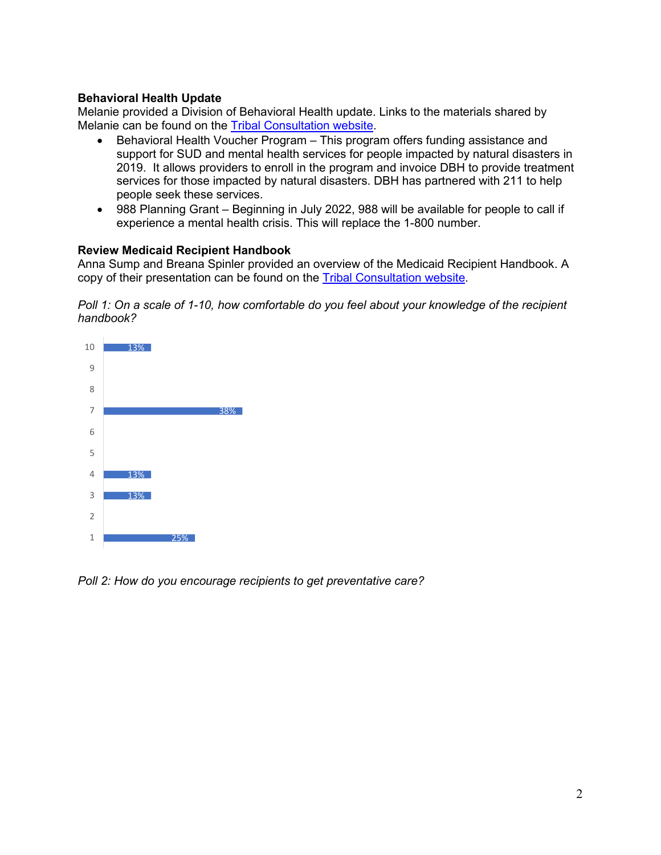## **Behavioral Health Update**

Melanie provided a Division of Behavioral Health update. Links to the materials shared by Melanie can be found on the [Tribal Consultation website.](https://dss.sd.gov/medicaid/generalinfo/tribalconsultation.aspx)

- Behavioral Health Voucher Program This program offers funding assistance and support for SUD and mental health services for people impacted by natural disasters in 2019. It allows providers to enroll in the program and invoice DBH to provide treatment services for those impacted by natural disasters. DBH has partnered with 211 to help people seek these services.
- 988 Planning Grant Beginning in July 2022, 988 will be available for people to call if experience a mental health crisis. This will replace the 1-800 number.

#### **Review Medicaid Recipient Handbook**

Anna Sump and Breana Spinler provided an overview of the Medicaid Recipient Handbook. A copy of their presentation can be found on the [Tribal Consultation website.](https://dss.sd.gov/medicaid/generalinfo/tribalconsultation.aspx)

*Poll 1: On a scale of 1-10, how comfortable do you feel about your knowledge of the recipient handbook?*



*Poll 2: How do you encourage recipients to get preventative care?*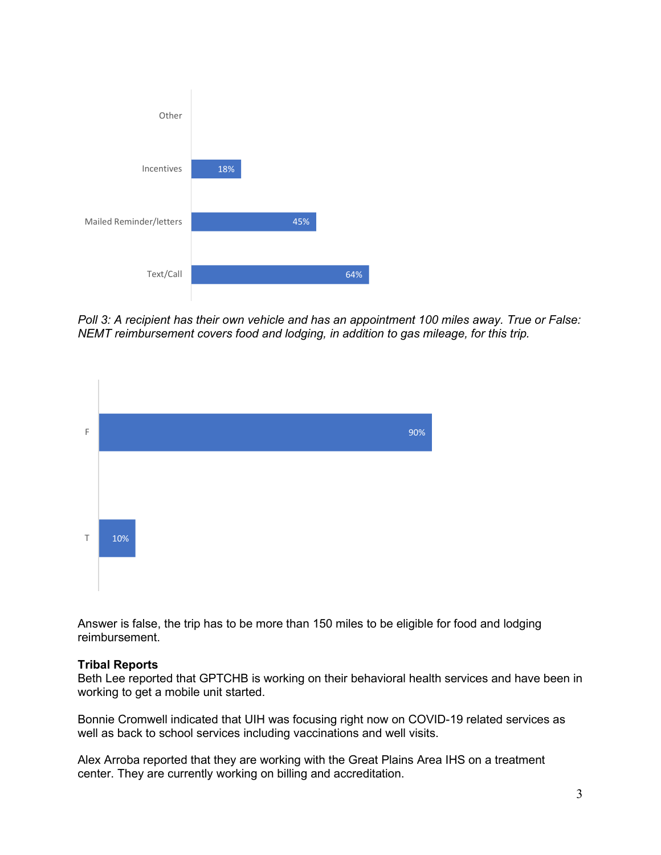

*Poll 3: A recipient has their own vehicle and has an appointment 100 miles away. True or False: NEMT reimbursement covers food and lodging, in addition to gas mileage, for this trip.* 



Answer is false, the trip has to be more than 150 miles to be eligible for food and lodging reimbursement.

#### **Tribal Reports**

Beth Lee reported that GPTCHB is working on their behavioral health services and have been in working to get a mobile unit started.

Bonnie Cromwell indicated that UIH was focusing right now on COVID-19 related services as well as back to school services including vaccinations and well visits.

Alex Arroba reported that they are working with the Great Plains Area IHS on a treatment center. They are currently working on billing and accreditation.